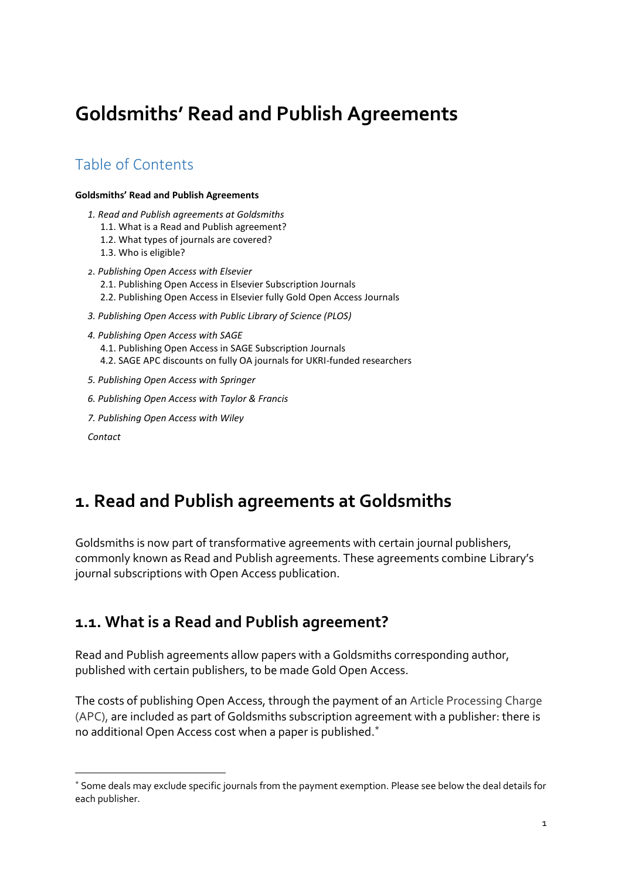# <span id="page-0-0"></span>**Goldsmiths' Read and Publish Agreements**

### Table of Contents

#### **[Goldsmiths' Read and Publish Agreements](#page-0-0)**

- *[1. Read and Publish agreements at Goldsmiths](#page-0-1)*
	- [1.1. What is a Read and Publish agreement?](#page-0-2)
	- [1.2. What types of journals are covered?](#page-1-0)
	- [1.3. Who is eligible?](#page-1-1)
- *2[. Publishing Open Access with Elsevier](#page-1-2)* [2.1. Publishing Open Access in Elsevier Subscription Journals](#page-1-3) [2.2. Publishing Open Access in Elsevier fully Gold Open Access Journals](#page-2-0)
- *[3. Publishing Open Access with Public Library of Science \(PLOS\)](#page-3-0)*
- *[4. Publishing Open Access with SAGE](#page-4-0)*
	- [4.1. Publishing Open Access in SAGE Subscription Journals](#page-4-1)
	- [4.2. SAGE APC discounts on fully OA journals for UKRI-funded researchers](#page-6-0)
- *[5. Publishing Open Access with Springer](#page-7-0)*
- *[6. Publishing Open Access with Taylor & Francis](#page-8-0)*
- *[7. Publishing Open Access with Wiley](#page-9-0)*

*[Contact](#page-10-0)*

-

## <span id="page-0-1"></span>**1. Read and Publish agreements at Goldsmiths**

Goldsmiths is now part of transformative agreements with certain journal publishers, commonly known as Read and Publish agreements. These agreements combine Library's journal subscriptions with Open Access publication.

### <span id="page-0-2"></span>**1.1. What is a Read and Publish agreement?**

Read and Publish agreements allow papers with a Goldsmiths corresponding author, published with certain publishers, to be made Gold Open Access.

The costs of publishing Open Access, through the payment of an Article Processing Charge (APC), are included as part of Goldsmiths subscription agreement with a publisher: there is no additional Open Access cost when a paper is published.\*

<sup>\*</sup> Some deals may exclude specific journals from the payment exemption. Please see below the deal details for each publisher.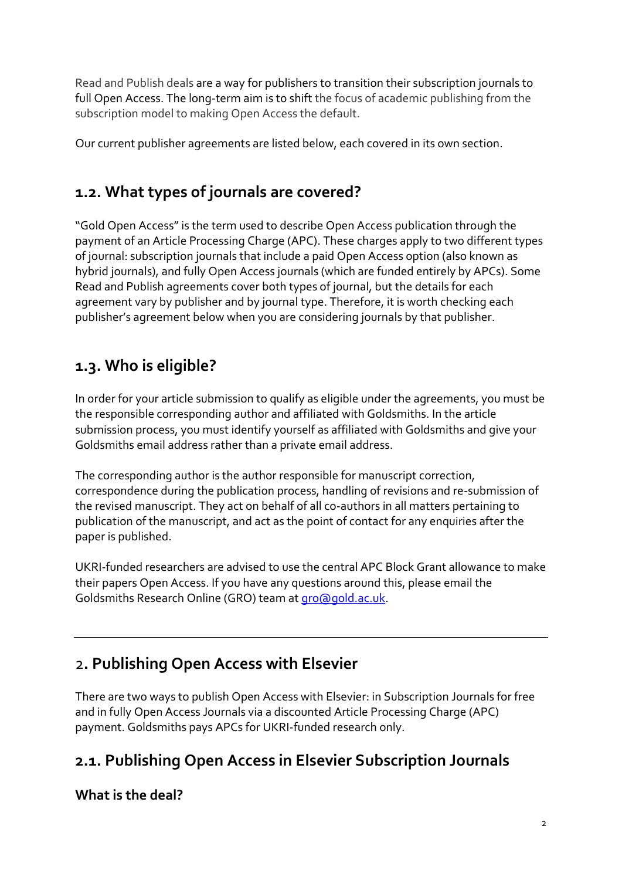Read and Publish deals are a way for publishers to transition their subscription journals to full Open Access. The long-term aim is to shift the focus of academic publishing from the subscription model to making Open Access the default.

Our current publisher agreements are listed below, each covered in its own section.

## <span id="page-1-0"></span>**1.2. What types of journals are covered?**

"Gold Open Access" is the term used to describe Open Access publication through the payment of an Article Processing Charge (APC). These charges apply to two different types of journal: subscription journals that include a paid Open Access option (also known as hybrid journals), and fully Open Access journals (which are funded entirely by APCs). Some Read and Publish agreements cover both types of journal, but the details for each agreement vary by publisher and by journal type. Therefore, it is worth checking each publisher's agreement below when you are considering journals by that publisher.

## <span id="page-1-1"></span>**1.3. Who is eligible?**

In order for your article submission to qualify as eligible under the agreements, you must be the responsible corresponding author and affiliated with Goldsmiths. In the article submission process, you must identify yourself as affiliated with Goldsmiths and give your Goldsmiths email address rather than a private email address.

The corresponding author is the author responsible for manuscript correction, correspondence during the publication process, handling of revisions and re-submission of the revised manuscript. They act on behalf of all co-authors in all matters pertaining to publication of the manuscript, and act as the point of contact for any enquiries after the paper is published.

UKRI-funded researchers are advised to use the central APC Block Grant allowance to make their papers Open Access. If you have any questions around this, please email the Goldsmiths Research Online (GRO) team a[t gro@gold.ac.uk.](mailto:gro@gold.ac.uk)

## <span id="page-1-2"></span>2**. Publishing Open Access with Elsevier**

There are two ways to publish Open Access with Elsevier: in Subscription Journals for free and in fully Open Access Journals via a discounted Article Processing Charge (APC) payment. Goldsmiths pays APCs for UKRI-funded research only.

## <span id="page-1-3"></span>**2.1. Publishing Open Access in Elsevier Subscription Journals**

**What is the deal?**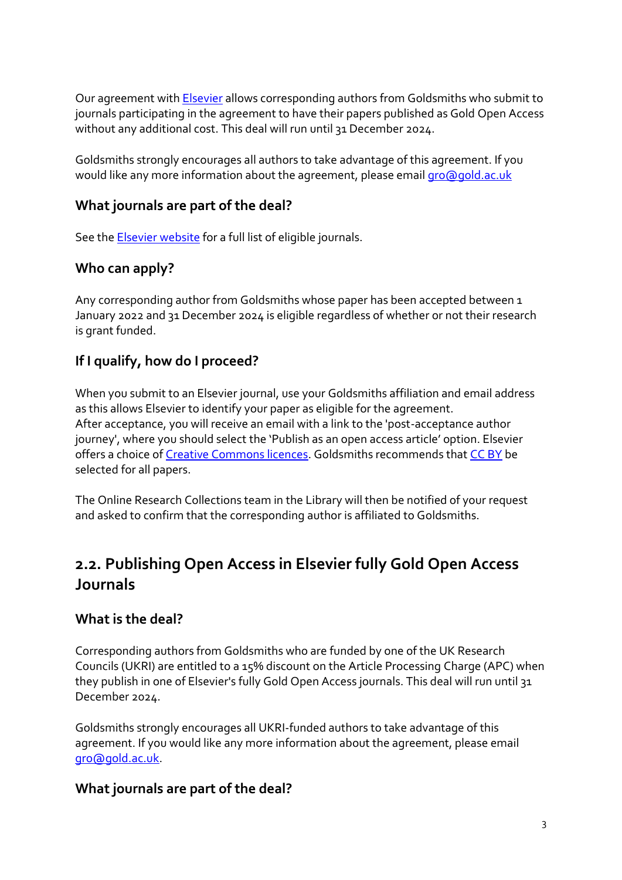Our agreement wit[h Elsevier](https://www.elsevier.com/open-access/agreements/jisc) allows corresponding authors from Goldsmiths who submit to journals participating in the agreement to have their papers published as Gold Open Access without any additional cost. This deal will run until 31 December 2024.

Goldsmiths strongly encourages all authors to take advantage of this agreement. If you would like any more information about the agreement, please emai[l gro@gold.ac.uk](mailto:gro@gold.ac.uk)

#### **What journals are part of the deal?**

See the **Elsevier website** for a full list of eligible journals.

#### **Who can apply?**

Any corresponding author from Goldsmiths whose paper has been accepted between 1 January 2022 and 31 December 2024 is eligible regardless of whether or not their research is grant funded.

### **If I qualify, how do I proceed?**

When you submit to an Elsevier journal, use your Goldsmiths affiliation and email address as this allows Elsevier to identify your paper as eligible for the agreement. After acceptance, you will receive an email with a link to the 'post-acceptance author journey', where you should select the 'Publish as an open access article' option. Elsevier offers a choice o[f Creative Commons licences.](https://creativecommons.org/about/cclicenses/) Goldsmiths recommends that [CC BY](https://creativecommons.org/licenses/by/4.0/) be selected for all papers.

The Online Research Collections team in the Library will then be notified of your request and asked to confirm that the corresponding author is affiliated to Goldsmiths.

### <span id="page-2-0"></span>**2.2. Publishing Open Access in Elsevier fully Gold Open Access Journals**

#### **What is the deal?**

Corresponding authors from Goldsmiths who are funded by one of the UK Research Councils (UKRI) are entitled to a 15% discount on the Article Processing Charge (APC) when they publish in one of Elsevier's fully Gold Open Access journals. This deal will run until 31 December 2024.

Goldsmiths strongly encourages all UKRI-funded authors to take advantage of this agreement. If you would like any more information about the agreement, please email [gro@gold.ac.uk.](mailto:gro@gold.ac.uk)

#### **What journals are part of the deal?**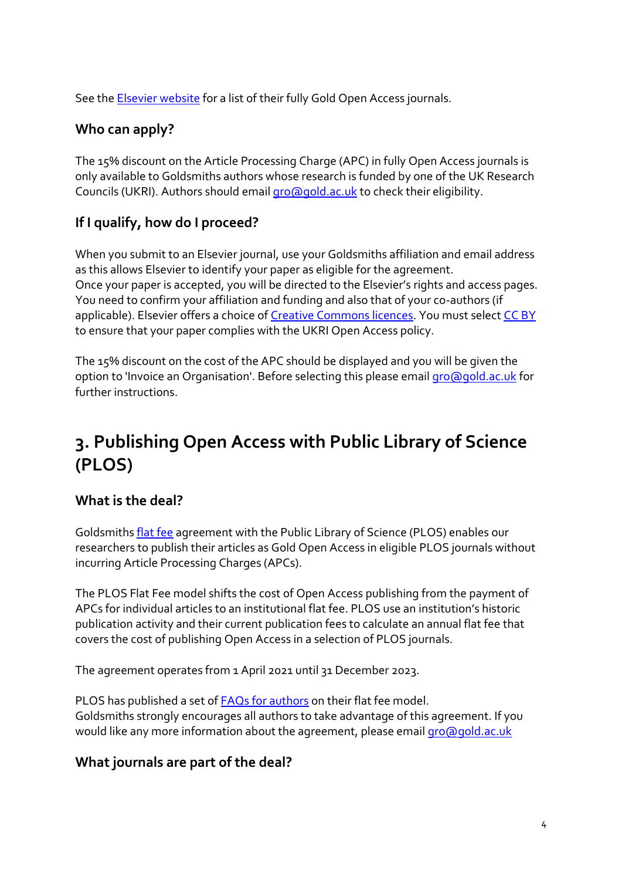See the [Elsevier website](https://www.elsevier.com/en-gb/open-access/open-access-journals) for a list of their fully Gold Open Access journals.

#### **Who can apply?**

The 15% discount on the Article Processing Charge (APC) in fully Open Access journals is only available to Goldsmiths authors whose research is funded by one of the UK Research Councils (UKRI). Authors should emai[l gro@gold.ac.uk](mailto:gro@gold.ac.uk) to check their eligibility.

### **If I qualify, how do I proceed?**

When you submit to an Elsevier journal, use your Goldsmiths affiliation and email address as this allows Elsevier to identify your paper as eligible for the agreement. Once your paper is accepted, you will be directed to the Elsevier's rights and access pages. You need to confirm your affiliation and funding and also that of your co-authors (if applicable). Elsevier offers a choice of [Creative Commons licences.](https://creativecommons.org/about/cclicenses/) You must select [CC BY](https://creativecommons.org/licenses/by/4.0/) to ensure that your paper complies with the UKRI Open Access policy.

The 15% discount on the cost of the APC should be displayed and you will be given the option to 'Invoice an Organisation'. Before selecting this please email [gro@gold.ac.uk](mailto:gro@gold.ac.uk) for further instructions.

## <span id="page-3-0"></span>**3. Publishing Open Access with Public Library of Science (PLOS)**

#### **What is the deal?**

Goldsmiths [flat fee](https://plos.org/resources/for-institutions/flat-fee-agreements/) agreement with the Public Library of Science (PLOS) enables our researchers to publish their articles as Gold Open Access in eligible PLOS journals without incurring Article Processing Charges (APCs).

The PLOS Flat Fee model shifts the cost of Open Access publishing from the payment of APCs for individual articles to an institutional flat fee. PLOS use an institution's historic publication activity and their current publication fees to calculate an annual flat fee that covers the cost of publishing Open Access in a selection of PLOS journals.

The agreement operates from 1 April 2021 until 31 December 2023.

PLOS has published a set of **FAQs** for authors on their flat fee model. Goldsmiths strongly encourages all authors to take advantage of this agreement. If you would like any more information about the agreement, please emai[l gro@gold.ac.uk](mailto:gro@gold.ac.uk)

### **What journals are part of the deal?**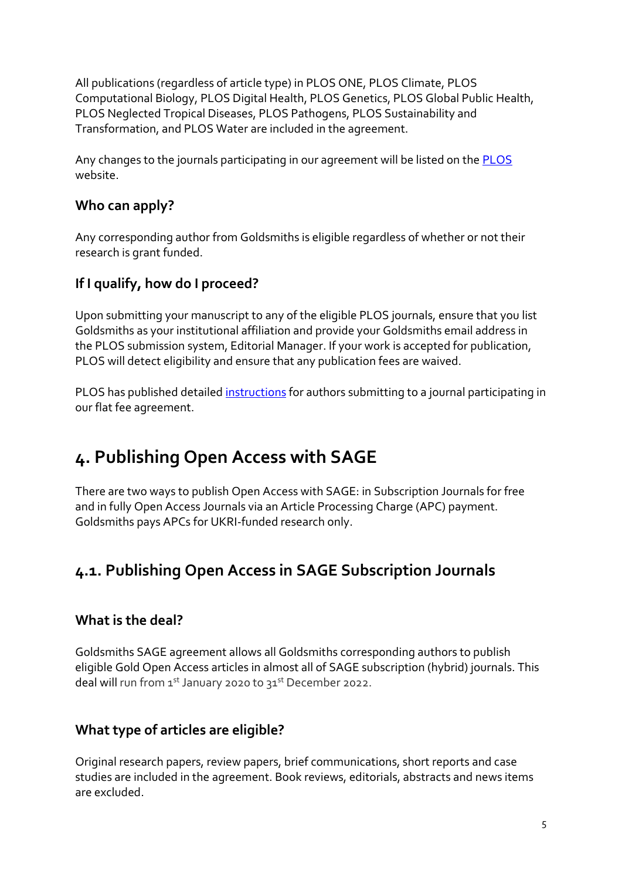All publications (regardless of article type) in PLOS ONE, PLOS Climate, PLOS Computational Biology, PLOS Digital Health, PLOS Genetics, PLOS Global Public Health, PLOS Neglected Tropical Diseases, PLOS Pathogens, PLOS Sustainability and Transformation, and PLOS Water are included in the agreement.

Any changes to the journals participating in our agreement will be listed on the [PLOS](https://plos.org/resources/for-institutions/institutional-account-participants/?agreement-type=flat-fees#uk) website.

#### **Who can apply?**

Any corresponding author from Goldsmiths is eligible regardless of whether or not their research is grant funded.

### **If I qualify, how do I proceed?**

Upon submitting your manuscript to any of the eligible PLOS journals, ensure that you list Goldsmiths as your institutional affiliation and provide your Goldsmiths email address in the PLOS submission system, Editorial Manager. If your work is accepted for publication, PLOS will detect eligibility and ensure that any publication fees are waived.

PLOS has published detailed [instructions](https://docs.google.com/presentation/d/128jRfOE74wvzaFQa2-uzJZgodOzWW2E41Ri-HFIa0Ao/present?ueb=true&slide=id.gba23692b49_0_588) for authors submitting to a journal participating in our flat fee agreement.

## <span id="page-4-0"></span>**4. Publishing Open Access with SAGE**

There are two ways to publish Open Access with SAGE: in Subscription Journals for free and in fully Open Access Journals via an Article Processing Charge (APC) payment. Goldsmiths pays APCs for UKRI-funded research only.

## <span id="page-4-1"></span>**4.1. Publishing Open Access in SAGE Subscription Journals**

#### **What is the deal?**

Goldsmiths SAGE agreement allows all Goldsmiths corresponding authors to publish eligible Gold Open Access articles in almost all of SAGE subscription (hybrid) journals. This deal will run from 1st January 2020 to 31st December 2022.

#### **What type of articles are eligible?**

Original research papers, review papers, brief communications, short reports and case studies are included in the agreement. Book reviews, editorials, abstracts and news items are excluded.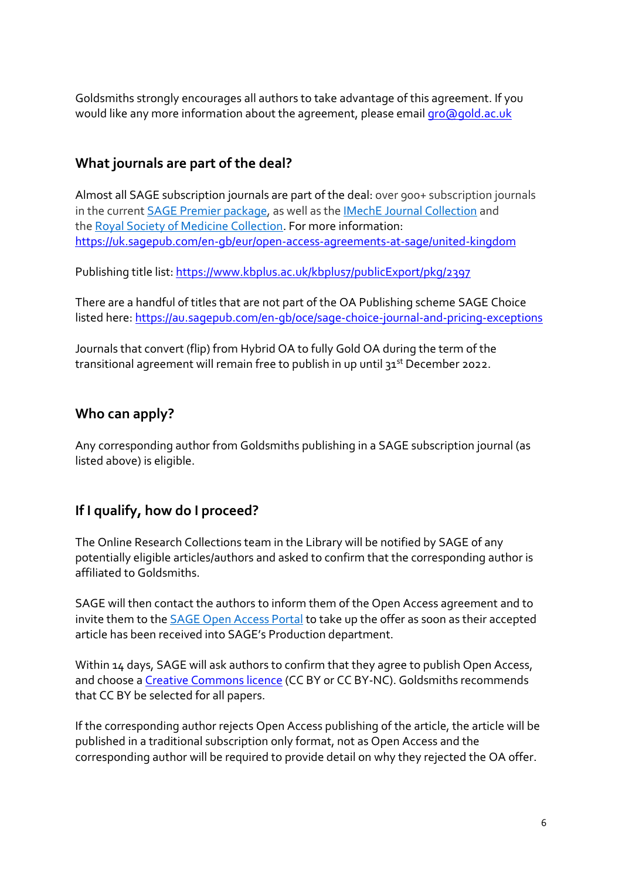Goldsmiths strongly encourages all authors to take advantage of this agreement. If you would like any more information about the agreement, please email [gro@gold.ac.uk](mailto:gro@gold.ac.uk)

#### **What journals are part of the deal?**

Almost all SAGE subscription journals are part of the deal: over 900+ subscription journals in the current [SAGE Premier package,](https://uk.sagepub.com/en-gb/asi/sage-journals-packages) as well as the [IMechE Journal Collection](https://uk.sagepub.com/en-gb/asi/imeche) and the [Royal Society of Medicine Collection.](https://uk.sagepub.com/en-gb/asi/rsm) For more information: <https://uk.sagepub.com/en-gb/eur/open-access-agreements-at-sage/united-kingdom>

Publishing title list[: https://www.kbplus.ac.uk/kbplus7/publicExport/pkg/2397](https://www.kbplus.ac.uk/kbplus7/publicExport/pkg/2397)

There are a handful of titles that are not part of the OA Publishing scheme SAGE Choice listed here: <https://au.sagepub.com/en-gb/oce/sage-choice-journal-and-pricing-exceptions>

Journals that convert (flip) from Hybrid OA to fully Gold OA during the term of the transitional agreement will remain free to publish in up until 31<sup>st</sup> December 2022.

#### **Who can apply?**

Any corresponding author from Goldsmiths publishing in a SAGE subscription journal (as listed above) is eligible.

#### **If I qualify, how do I proceed?**

The Online Research Collections team in the Library will be notified by SAGE of any potentially eligible articles/authors and asked to confirm that the corresponding author is affiliated to Goldsmiths.

SAGE will then contact the authors to inform them of the Open Access agreement and to invite them to the **[SAGE Open Access Portal](https://uk.sagepub.com/en-gb/eur/sage-open-access-portal)** to take up the offer as soon as their accepted article has been received into SAGE's Production department.

Within 14 days, SAGE will ask authors to confirm that they agree to publish Open Access, and choose a [Creative Commons licence](https://creativecommons.org/about/cclicenses/) (CC BY or CC BY-NC). Goldsmiths recommends that CC BY be selected for all papers.

If the corresponding author rejects Open Access publishing of the article, the article will be published in a traditional subscription only format, not as Open Access and the corresponding author will be required to provide detail on why they rejected the OA offer.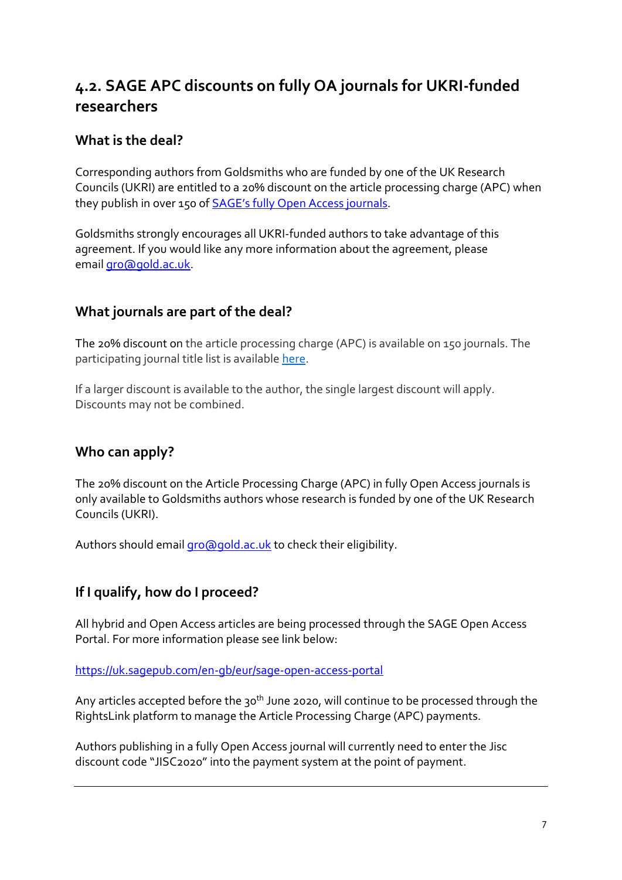### <span id="page-6-0"></span>**4.2. SAGE APC discounts on fully OA journals for UKRI-funded researchers**

#### **What is the deal?**

Corresponding authors from Goldsmiths who are funded by one of the UK Research Councils (UKRI) are entitled to a 20% discount on the article processing charge (APC) when they publish in over 150 of **[SAGE's fully Open Access journals](https://uk.sagepub.com/en-gb/eur/pure-gold-open-access-journals-at-sage)**.

Goldsmiths strongly encourages all UKRI-funded authors to take advantage of this agreement. If you would like any more information about the agreement, please email [gro@gold.ac.uk.](mailto:gro@gold.ac.uk)

#### **What journals are part of the deal?**

The 20% discount on the article processing charge (APC) is available on 150 journals. The participating journal title list is available [here.](https://us.sagepub.com/sites/default/files/sage_gold_oa_discount_eligibility_list.xlsx)

If a larger discount is available to the author, the single largest discount will apply. Discounts may not be combined.

### **Who can apply?**

The 20% discount on the Article Processing Charge (APC) in fully Open Access journals is only available to Goldsmiths authors whose research is funded by one of the UK Research Councils (UKRI).

Authors should email [gro@gold.ac.uk](mailto:gro@gold.ac.uk) to check their eligibility.

#### **If I qualify, how do I proceed?**

All hybrid and Open Access articles are being processed through the SAGE Open Access Portal. For more information please see link below:

<https://uk.sagepub.com/en-gb/eur/sage-open-access-portal>

Any articles accepted before the  $30<sup>th</sup>$  June 2020, will continue to be processed through the RightsLink platform to manage the Article Processing Charge (APC) payments.

Authors publishing in a fully Open Access journal will currently need to enter the Jisc discount code "JISC2020" into the payment system at the point of payment.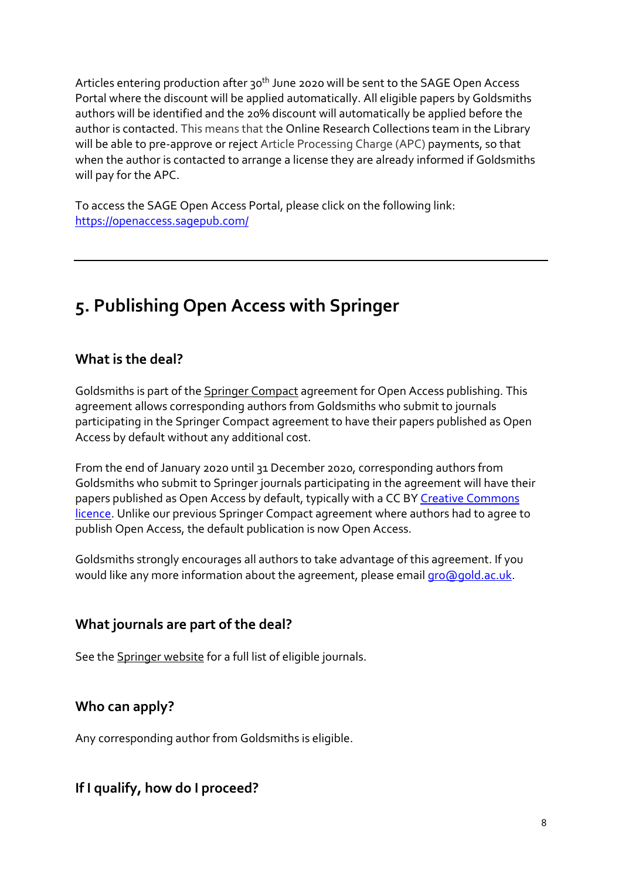Articles entering production after 30<sup>th</sup> June 2020 will be sent to the SAGE Open Access Portal where the discount will be applied automatically. All eligible papers by Goldsmiths authors will be identified and the 20% discount will automatically be applied before the author is contacted. This means that the Online Research Collections team in the Library will be able to pre-approve or reject Article Processing Charge (APC) payments, so that when the author is contacted to arrange a license they are already informed if Goldsmiths will pay for the APC.

To access the SAGE Open Access Portal, please click on the following link: <https://openaccess.sagepub.com/>

## <span id="page-7-0"></span>**5. Publishing Open Access with Springer**

#### **What is the deal?**

Goldsmiths is part of the [Springer Compact](https://www.springer.com/gp/open-access/springer-open-choice/springer-compact/agreements-uk-authors) agreement for Open Access publishing. This agreement allows corresponding authors from Goldsmiths who submit to journals participating in the Springer Compact agreement to have their papers published as Open Access by default without any additional cost.

From the end of January 2020 until 31 December 2020, corresponding authors from Goldsmiths who submit to Springer journals participating in the agreement will have their papers published as Open Access by default, typically with a CC BY Creative Commons [licence.](https://creativecommons.org/about/cclicenses/) Unlike our previous Springer Compact agreement where authors had to agree to publish Open Access, the default publication is now Open Access.

Goldsmiths strongly encourages all authors to take advantage of this agreement. If you would like any more information about the agreement, please email [gro@gold.ac.uk.](mailto:gro@gold.ac.uk)

#### **What journals are part of the deal?**

See the [Springer website](https://www.springer.com/gp/open-access/springer-open-choice/springer-compact/agreements-uk-authors) for a full list of eligible journals.

#### **Who can apply?**

Any corresponding author from Goldsmiths is eligible.

#### **If I qualify, how do I proceed?**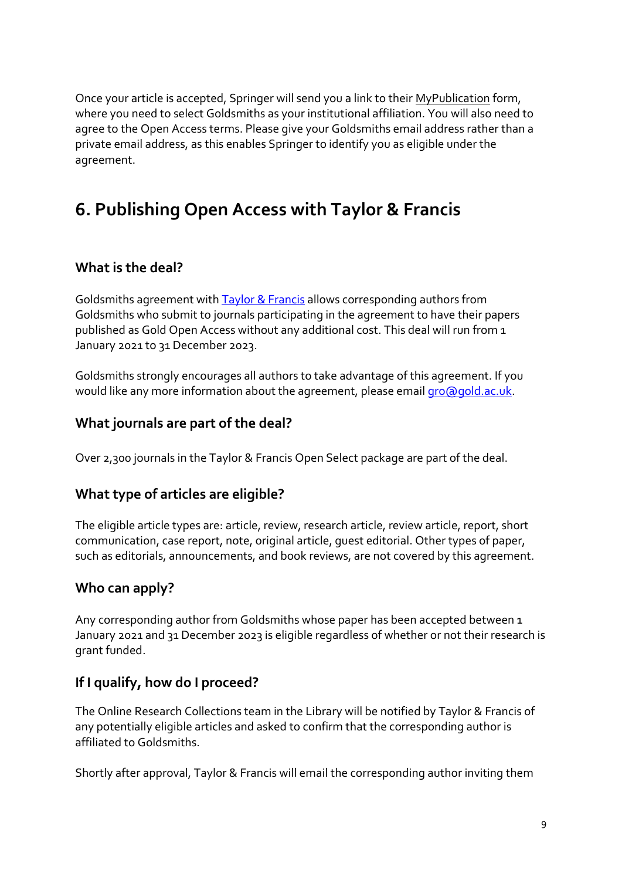Once your article is accepted, Springer will send you a link to their [MyPublication](https://www.springer.com/gp/authors-editors/journal-author/journal-author-helpdesk/mypublication/1264) form, where you need to select Goldsmiths as your institutional affiliation. You will also need to agree to the Open Access terms. Please give your Goldsmiths email address rather than a private email address, as this enables Springer to identify you as eligible under the agreement.

## <span id="page-8-0"></span>**6. Publishing Open Access with Taylor & Francis**

#### **What is the deal?**

Goldsmiths agreement with [Taylor & Francis](https://authorservices.taylorandfrancis.com/publishing-open-access/oa-agreements/jisc/) allows corresponding authors from Goldsmiths who submit to journals participating in the agreement to have their papers published as Gold Open Access without any additional cost. This deal will run from 1 January 2021 to 31 December 2023.

Goldsmiths strongly encourages all authors to take advantage of this agreement. If you would like any more information about the agreement, please email [gro@gold.ac.uk.](mailto:gro@gold.ac.uk)

#### **What journals are part of the deal?**

Over 2,300 journals in the Taylor & Francis [Open Select](https://authorservices.taylorandfrancis.com/publishing-open-access/open-select/) package are part of the deal.

#### **What type of articles are eligible?**

The eligible article types are: article, review, research article, review article, report, short communication, case report, note, original article, guest editorial. Other types of paper, such as editorials, announcements, and book reviews, are not covered by this agreement.

#### **Who can apply?**

Any corresponding author from Goldsmiths whose paper has been accepted between 1 January 2021 and 31 December 2023 is eligible regardless of whether or not their research is grant funded.

#### **If I qualify, how do I proceed?**

The Online Research Collections team in the Library will be notified by Taylor & Francis of any potentially eligible articles and asked to confirm that the corresponding author is affiliated to Goldsmiths.

Shortly after approval, Taylor & Francis will email the corresponding author inviting them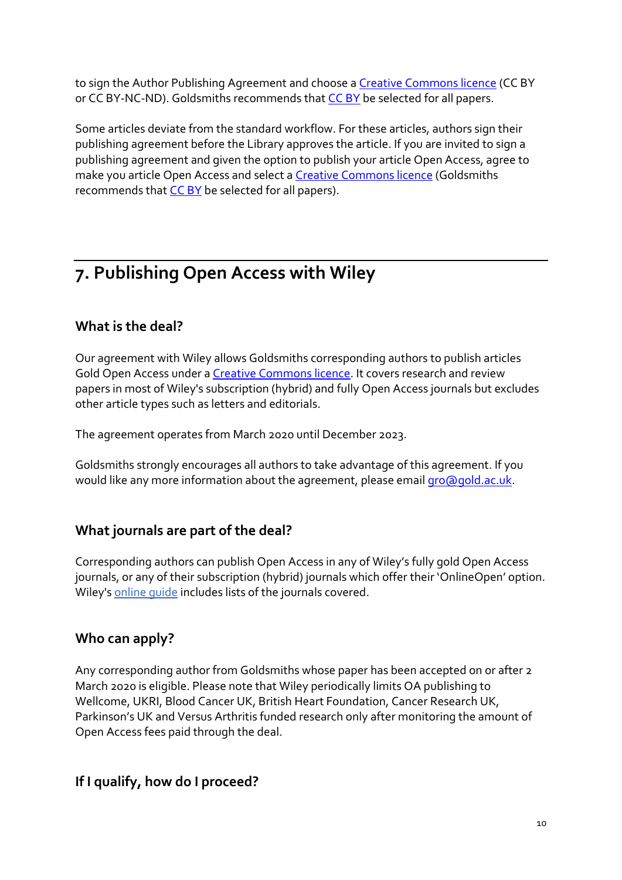to sign the Author Publishing Agreement and choose a [Creative Commons licence](https://creativecommons.org/about/cclicenses/) (CC BY or CC BY-NC-ND). Goldsmiths recommends that [CC BY](https://creativecommons.org/licenses/by/4.0/) be selected for all papers.

Some articles deviate from the standard workflow. For these articles, authors sign their publishing agreement before the Library approves the article. If you are invited to sign a publishing agreement and given the option to publish your article Open Access, agree to make you article Open Access and select a [Creative Commons licence](https://creativecommons.org/about/cclicenses/) (Goldsmiths recommends tha[t CC BY](https://creativecommons.org/licenses/by/4.0/) be selected for all papers).

## <span id="page-9-0"></span>**7. Publishing Open Access with Wiley**

#### **What is the deal?**

Our agreement with Wiley allows Goldsmiths corresponding authors to publish articles Gold Open Access under a [Creative Commons licence.](https://creativecommons.org/about/cclicenses/) It covers research and review papers in most of Wiley's subscription (hybrid) and fully Open Access journals but excludes other article types such as letters and editorials.

The agreement operates from March 2020 until December 2023.

Goldsmiths strongly encourages all authors to take advantage of this agreement. If you would like any more information about the agreement, please email [gro@gold.ac.uk.](mailto:gro@gold.ac.uk)

#### **What journals are part of the deal?**

Corresponding authors can publish Open Access in any of Wiley's fully gold Open Access journals, or any of their subscription (hybrid) journals which offer their 'OnlineOpen' option. Wiley's [online guide](https://authorservices.wiley.com/author-resources/Journal-Authors/open-access/affiliation-policies-payments/jisc-agreement.html) includes lists of the journals covered.

#### **Who can apply?**

Any corresponding author from Goldsmiths whose paper has been accepted on or after 2 March 2020 is eligible. Please note that Wiley periodically limits OA publishing to Wellcome, UKRI, Blood Cancer UK, British Heart Foundation, Cancer Research UK, Parkinson's UK and Versus Arthritis funded research only after monitoring the amount of Open Access fees paid through the deal.

#### **If I qualify, how do I proceed?**